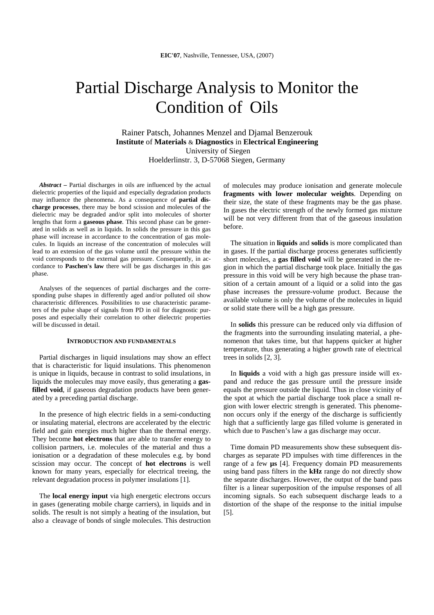# Partial Discharge Analysis to Monitor the Condition of Oils

Rainer Patsch, Johannes Menzel and Djamal Benzerouk **Institute** of **Materials** & **Diagnostics** in **Electrical Engineering** University of Siegen Hoelderlinstr. 3, D-57068 Siegen, Germany

*Abstract* **–** Partial discharges in oils are influenced by the actual dielectric properties of the liquid and especially degradation products may influence the phenomena. As a consequence of **partial discharge processes**, there may be bond scission and molecules of the dielectric may be degraded and/or split into molecules of shorter lengths that form a **gaseous phase**. This second phase can be generated in solids as well as in liquids. In solids the pressure in this gas phase will increase in accordance to the concentration of gas molecules. In liquids an increase of the concentration of molecules will lead to an extension of the gas volume until the pressure within the void corresponds to the external gas pressure. Consequently, in accordance to **Paschen's law** there will be gas discharges in this gas phase.

Analyses of the sequences of partial discharges and the corresponding pulse shapes in differently aged and/or polluted oil show characteristic differences. Possibilities to use characteristic parameters of the pulse shape of signals from PD in oil for diagnostic purposes and especially their correlation to other dielectric properties will be discussed in detail.

## **INTRODUCTION AND FUNDAMENTALS**

Partial discharges in liquid insulations may show an effect that is characteristic for liquid insulations. This phenomenon is unique in liquids, because in contrast to solid insulations, in liquids the molecules may move easily, thus generating a **gasfilled void**, if gaseous degradation products have been generated by a preceding partial discharge.

In the presence of high electric fields in a semi-conducting or insulating material, electrons are accelerated by the electric field and gain energies much higher than the thermal energy. They become **hot electrons** that are able to transfer energy to collision partners, i.e. molecules of the material and thus a ionisation or a degradation of these molecules e.g. by bond scission may occur. The concept of **hot electrons** is well known for many years, especially for electrical treeing, the relevant degradation process in polymer insulations [1].

The **local energy input** via high energetic electrons occurs in gases (generating mobile charge carriers), in liquids and in solids. The result is not simply a heating of the insulation, but also a cleavage of bonds of single molecules. This destruction of molecules may produce ionisation and generate molecule **fragments with lower molecular weights**. Depending on their size, the state of these fragments may be the gas phase. In gases the electric strength of the newly formed gas mixture will be not very different from that of the gaseous insulation before.

The situation in **liquids** and **solids** is more complicated than in gases. If the partial discharge process generates sufficiently short molecules, a **gas filled void** will be generated in the region in which the partial discharge took place. Initially the gas pressure in this void will be very high because the phase transition of a certain amount of a liquid or a solid into the gas phase increases the pressure-volume product. Because the available volume is only the volume of the molecules in liquid or solid state there will be a high gas pressure.

In **solids** this pressure can be reduced only via diffusion of the fragments into the surrounding insulating material, a phenomenon that takes time, but that happens quicker at higher temperature, thus generating a higher growth rate of electrical trees in solids [2, 3].

In **liquids** a void with a high gas pressure inside will expand and reduce the gas pressure until the pressure inside equals the pressure outside the liquid. Thus in close vicinity of the spot at which the partial discharge took place a small region with lower electric strength is generated. This phenomenon occurs only if the energy of the discharge is sufficiently high that a sufficiently large gas filled volume is generated in which due to Paschen's law a gas discharge may occur.

Time domain PD measurements show these subsequent discharges as separate PD impulses with time differences in the range of a few **µs** [4]. Frequency domain PD measurements using band pass filters in the **kHz** range do not directly show the separate discharges. However, the output of the band pass filter is a linear superposition of the impulse responses of all incoming signals. So each subsequent discharge leads to a distortion of the shape of the response to the initial impulse [5].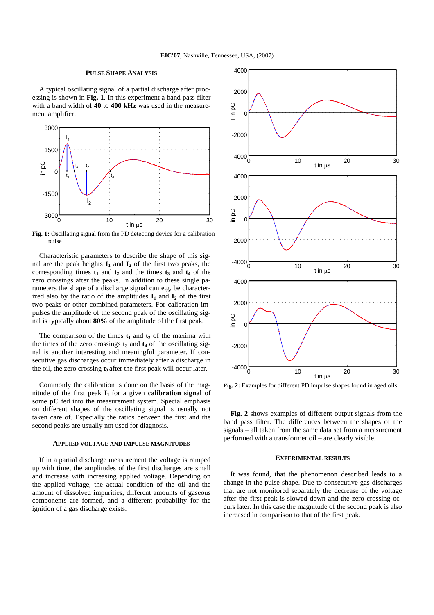#### **PULSE SHAPE ANALYSIS**

A typical oscillating signal of a partial discharge after processing is shown in **Fig. 1**. In this experiment a band pass filter with a band width of **40** to **400 kHz** was used in the measurement amplifier.



**Fig. 1:** Oscillating signal from the PD detecting device for a calibration pulse

Characteristic parameters to describe the shape of this signal are the peak heights  $I_1$  and  $I_2$  of the first two peaks, the corresponding times  $t_1$  and  $t_2$  and the times  $t_3$  and  $t_4$  of the zero crossings after the peaks. In addition to these single parameters the shape of a discharge signal can e.g. be characterized also by the ratio of the amplitudes  $I_1$  and  $I_2$  of the first two peaks or other combined parameters. For calibration impulses the amplitude of the second peak of the oscillating signal is typically about **80%** of the amplitude of the first peak.

The comparison of the times  $t_1$  and  $t_2$  of the maxima with the times of the zero crossings  $t_3$  and  $t_4$  of the oscillating signal is another interesting and meaningful parameter. If consecutive gas discharges occur immediately after a discharge in the oil, the zero crossing  $t_3$  after the first peak will occur later.

Commonly the calibration is done on the basis of the magnitude of the first peak  $I_1$  for a given **calibration signal** of some **pC** fed into the measurement system. Special emphasis on different shapes of the oscillating signal is usually not taken care of. Especially the ratios between the first and the second peaks are usually not used for diagnosis.

## **APPLIED VOLTAGE AND IMPULSE MAGNITUDES**

If in a partial discharge measurement the voltage is ramped up with time, the amplitudes of the first discharges are small and increase with increasing applied voltage. Depending on the applied voltage, the actual condition of the oil and the amount of dissolved impurities, different amounts of gaseous components are formed, and a different probability for the ignition of a gas discharge exists.



**Fig. 2:** Examples for different PD impulse shapes found in aged oils

**Fig. 2** shows examples of different output signals from the band pass filter. The differences between the shapes of the signals – all taken from the same data set from a measurement performed with a transformer oil – are clearly visible.

#### **EXPERIMENTAL RESULTS**

It was found, that the phenomenon described leads to a change in the pulse shape. Due to consecutive gas discharges that are not monitored separately the decrease of the voltage after the first peak is slowed down and the zero crossing occurs later. In this case the magnitude of the second peak is also increased in comparison to that of the first peak.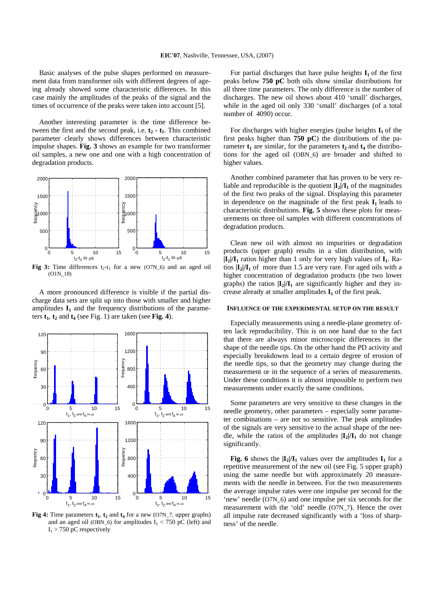Basic analyses of the pulse shapes performed on measurement data from transformer oils with different degrees of ageing already showed some characteristic differences. In this case mainly the amplitudes of the peaks of the signal and the times of occurrence of the peaks were taken into account [5].

Another interesting parameter is the time difference between the first and the second peak, i.e.  $t_2 - t_1$ . This combined parameter clearly shows differences between characteristic impulse shapes. **Fig. 3** shows an example for two transformer oil samples, a new one and one with a high concentration of degradation products.



**Fig 3:** Time differences  $t_2-t_1$  for a new (O7N\_6) and an aged oil (O1N\_18)

A more pronounced difference is visible if the partial discharge data sets are split up into those with smaller and higher amplitudes  $I_1$  and the frequency distributions of the parameters  $t_1$ ,  $t_2$  and  $t_4$  (see Fig. 1) are taken (see Fig. 4).



**Fig 4:** Time parameters  $t_1$ ,  $t_2$  and  $t_4$  for a new (O7N\_7, upper graphs) and an aged oil (OBN\_6) for amplitudes  $I_1 < 750$  pC (left) and  $I_1$  > 750 pC respectively

For partial discharges that have pulse heights  $I_1$  of the first peaks below **750 pC** both oils show similar distributions for all three time parameters. The only difference is the number of discharges. The new oil shows about 410 'small' discharges, while in the aged oil only 330 'small' discharges (of a total number of 4090) occur.

For discharges with higher energies (pulse heights  $I_1$  of the first peaks higher than **750 pC**) the distributions of the parameter  $t_1$  are similar, for the parameters  $t_2$  and  $t_4$  the distributions for the aged oil (OBN\_6) are broader and shifted to higher values.

Another combined parameter that has proven to be very reliable and reproducible is the quotient  $|\mathbf{I}_2|/\mathbf{I}_1$  of the magnitudes of the first two peaks of the signal. Displaying this parameter in dependence on the magnitude of the first peak  $I_1$  leads to characteristic distributions. **Fig. 5** shows these plots for measurements on three oil samples with different concentrations of degradation products.

Clean new oil with almost no impurities or degradation products (upper graph) results in a slim distribution, with  $|I_2|/I_1$  ratios higher than 1 only for very high values of  $I_1$ . Ratios  $|\mathbf{I}_2|/\mathbf{I}_1$  of more than 1.5 are very rare. For aged oils with a higher concentration of degradation products (the two lower graphs) the ratios  $|I_2|/I_1$  are significantly higher and they increase already at smaller amplitudes  $I_1$  of the first peak.

# **INFLUENCE OF THE EXPERIMENTAL SETUP ON THE RESULT**

Especially measurements using a needle-plane geometry often lack reproducibility. This is on one hand due to the fact that there are always minor microscopic differences in the shape of the needle tips. On the other hand the PD activity and especially breakdowns lead to a certain degree of erosion of the needle tips, so that the geometry may change during the measurement or in the sequence of a series of measurements. Under these conditions it is almost impossible to perform two measurements under exactly the same conditions.

Some parameters are very sensitive to these changes in the needle geometry, other parameters – especially some parameter combinations – are not so sensitive. The peak amplitudes of the signals are very sensitive to the actual shape of the needle, while the ratios of the amplitudes  $|I_2|/I_1$  do not change significantly.

**Fig. 6** shows the  $|I_2|/I_1$  values over the amplitudes  $I_1$  for a repetitive measurement of the new oil (see Fig. 5 upper graph) using the same needle but with approximately 20 measurements with the needle in between. For the two measurements the average impulse rates were one impulse per second for the 'new' needle (O7N\_6) and one impulse per six seconds for the measurement with the 'old' needle (O7N\_7). Hence the over all impulse rate decreased significantly with a 'loss of sharpness' of the needle.